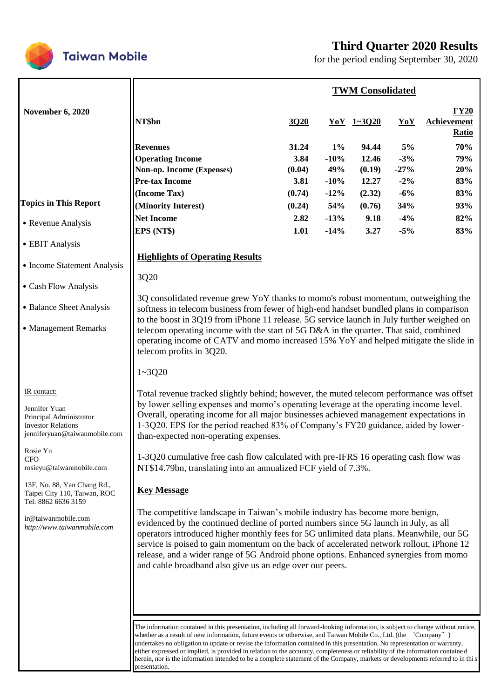

# **Third Quarter 2020 Results**

for the period ending September 30, 2020

|                                                                                                                                                                                                                                                                                                                         |                                                                                                                                                                                                                                                                                                                                                                                                                                                                                                                                                                                                                                                                                                                                                                                                                                                                                                                                                                                                                                                                                                                                                                                                                                                                                                                                                                                                                 |                                                                     |                                                                       | <b>TWM Consolidated</b>                                               |                                                                  |                                                      |
|-------------------------------------------------------------------------------------------------------------------------------------------------------------------------------------------------------------------------------------------------------------------------------------------------------------------------|-----------------------------------------------------------------------------------------------------------------------------------------------------------------------------------------------------------------------------------------------------------------------------------------------------------------------------------------------------------------------------------------------------------------------------------------------------------------------------------------------------------------------------------------------------------------------------------------------------------------------------------------------------------------------------------------------------------------------------------------------------------------------------------------------------------------------------------------------------------------------------------------------------------------------------------------------------------------------------------------------------------------------------------------------------------------------------------------------------------------------------------------------------------------------------------------------------------------------------------------------------------------------------------------------------------------------------------------------------------------------------------------------------------------|---------------------------------------------------------------------|-----------------------------------------------------------------------|-----------------------------------------------------------------------|------------------------------------------------------------------|------------------------------------------------------|
| <b>November 6, 2020</b>                                                                                                                                                                                                                                                                                                 | NT\$bn                                                                                                                                                                                                                                                                                                                                                                                                                                                                                                                                                                                                                                                                                                                                                                                                                                                                                                                                                                                                                                                                                                                                                                                                                                                                                                                                                                                                          | 3020                                                                |                                                                       | $YoY$ 1~3020                                                          | YoY                                                              | $FY20$<br>Achievement<br><b>Ratio</b>                |
| <b>Topics in This Report</b><br>• Revenue Analysis<br>• EBIT Analysis<br>• Income Statement Analysis<br>• Cash Flow Analysis<br>• Balance Sheet Analysis<br>• Management Remarks                                                                                                                                        | <b>Revenues</b><br><b>Operating Income</b><br>Non-op. Income (Expenses)<br><b>Pre-tax Income</b><br>(Income Tax)<br>(Minority Interest)<br><b>Net Income</b><br>EPS (NT\$)<br><b>Highlights of Operating Results</b><br>3Q20<br>3Q consolidated revenue grew YoY thanks to momo's robust momentum, outweighing the<br>softness in telecom business from fewer of high-end handset bundled plans in comparison<br>to the boost in 3Q19 from iPhone 11 release. 5G service launch in July further weighed on<br>telecom operating income with the start of 5G D&A in the quarter. That said, combined<br>operating income of CATV and momo increased 15% YoY and helped mitigate the slide in                                                                                                                                                                                                                                                                                                                                                                                                                                                                                                                                                                                                                                                                                                                     | 31.24<br>3.84<br>(0.04)<br>3.81<br>(0.74)<br>(0.24)<br>2.82<br>1.01 | $1\%$<br>$-10%$<br>49%<br>$-10%$<br>$-12%$<br>54%<br>$-13%$<br>$-14%$ | 94.44<br>12.46<br>(0.19)<br>12.27<br>(2.32)<br>(0.76)<br>9.18<br>3.27 | 5%<br>$-3%$<br>$-27%$<br>$-2%$<br>$-6%$<br>34%<br>$-4%$<br>$-5%$ | 70%<br>79%<br>20%<br>83%<br>83%<br>93%<br>82%<br>83% |
| IR contact:<br>Jennifer Yuan<br>Principal Administrator<br><b>Investor Relations</b><br>jenniferyuan@taiwanmobile.com<br>Rosie Yu<br><b>CFO</b><br>rosieyu@taiwanmobile.com<br>13F, No. 88, Yan Chang Rd.,<br>Taipei City 110, Taiwan, ROC<br>Tel: 8862 6636 3159<br>ir@taiwanmobile.com<br>http://www.taiwanmobile.com | telecom profits in 3Q20.<br>$1 - 3Q20$<br>Total revenue tracked slightly behind; however, the muted telecom performance was offset<br>by lower selling expenses and momo's operating leverage at the operating income level.<br>Overall, operating income for all major businesses achieved management expectations in<br>1-3Q20. EPS for the period reached 83% of Company's FY20 guidance, aided by lower-<br>than-expected non-operating expenses.<br>1-3Q20 cumulative free cash flow calculated with pre-IFRS 16 operating cash flow was<br>NT\$14.79bn, translating into an annualized FCF yield of 7.3%.<br><b>Key Message</b><br>The competitive landscape in Taiwan's mobile industry has become more benign,<br>evidenced by the continued decline of ported numbers since 5G launch in July, as all<br>operators introduced higher monthly fees for 5G unlimited data plans. Meanwhile, our 5G<br>service is poised to gain momentum on the back of accelerated network rollout, iPhone 12<br>release, and a wider range of 5G Android phone options. Enhanced synergies from momo<br>and cable broadband also give us an edge over our peers.<br>The information contained in this presentation, including all forward-looking information, is subject to change without notice,<br>whether as a result of new information, future events or otherwise, and Taiwan Mobile Co., Ltd. (the "Company") |                                                                     |                                                                       |                                                                       |                                                                  |                                                      |

presentation.

herein, nor is the information intended to be a complete statement of the Company, markets or developments referred to in this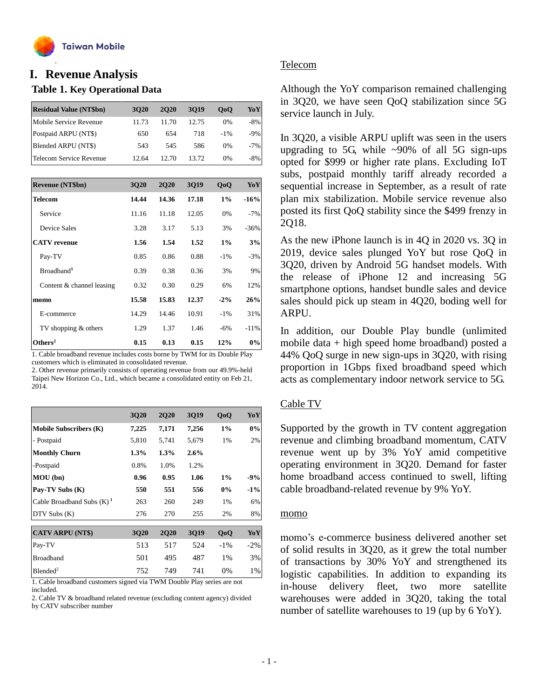

## **Table 1. Key Operational Data I. Revenue Analysis**

| <b>Residual Value (NT\$bn)</b> | 3020  | <b>2020</b> | 3019  | 0 <sub>0</sub> | YoY    |
|--------------------------------|-------|-------------|-------|----------------|--------|
| Mobile Service Revenue         | 11.73 | 11.70       | 12.75 | $0\%$          | $-8%$  |
| Postpaid ARPU (NT\$)           | 650   | 654         | 718   | $-1\%$         | $-9%$  |
| Blended ARPU (NT\$)            | 543   | 545         | 586   | $0\%$          | $-7%$  |
| Telecom Service Revenue        | 12.64 | 12.70       | 13.72 | $0\%$          | $-8\%$ |
|                                |       |             |       |                |        |

| Revenue (NT\$bn)          | 3Q20  | <b>2Q20</b> | <b>3Q19</b> | QoQ    | YoY    |
|---------------------------|-------|-------------|-------------|--------|--------|
| <b>Telecom</b>            | 14.44 | 14.36       | 17.18       | 1%     | $-16%$ |
| Service                   | 11.16 | 11.18       | 12.05       | 0%     | $-7%$  |
| Device Sales              | 3.28  | 3.17        | 5.13        | 3%     | $-36%$ |
| <b>CATV</b> revenue       | 1.56  | 1.54        | 1.52        | 1%     | 3%     |
| Pay-TV                    | 0.85  | 0.86        | 0.88        | $-1\%$ | $-3%$  |
| Broadband <sup>1</sup>    | 0.39  | 0.38        | 0.36        | 3%     | 9%     |
| Content & channel leasing | 0.32  | 0.30        | 0.29        | 6%     | 12%    |
| momo                      | 15.58 | 15.83       | 12.37       | $-2\%$ | 26%    |
| E-commerce                | 14.29 | 14.46       | 10.91       | $-1\%$ | 31%    |
| TV shopping & others      | 1.29  | 1.37        | 1.46        | $-6\%$ | $-11%$ |
| Others <sup>2</sup>       | 0.15  | 0.13        | 0.15        | 12%    | 0%     |

1. Cable broadband revenue includes costs borne by TWM for its Double Play customers which is eliminated in consolidated revenue.

2. Other revenue primarily consists of operating revenue from our 49.9%-held Taipei New Horizon Co., Ltd., which became a consolidated entity on Feb 21, 2014.

|                               | 3Q20    | <b>2Q20</b> | <b>3Q19</b> | QoQ    | YoY    |
|-------------------------------|---------|-------------|-------------|--------|--------|
| <b>Mobile Subscribers (K)</b> | 7,225   | 7,171       | 7,256       | 1%     | 0%     |
| - Postpaid                    | 5,810   | 5,741       | 5,679       | 1%     | 2%     |
| <b>Monthly Churn</b>          | $1.3\%$ | 1.3%        | 2.6%        |        |        |
| -Postpaid                     | 0.8%    | 1.0%        | 1.2%        |        |        |
| MOU (bn)                      | 0.96    | 0.95        | 1.06        | 1%     | $-9%$  |
| Pay-TV Subs (K)               | 550     | 551         | 556         | 0%     | $-1\%$ |
| Cable Broadband Subs $(K)^1$  | 263     | 260         | 249         | 1%     | 6%     |
| DTV Subs (K)                  | 276     | 270         | 255         | 2%     | 8%     |
| <b>CATV ARPU (NT\$)</b>       | 3Q20    | <b>2Q20</b> | <b>3Q19</b> | QoQ    | YoY    |
| Pay-TV                        | 513     | 517         | 524         | $-1\%$ | $-2\%$ |
| <b>Broadband</b>              | 501     | 495         | 487         | $1\%$  | 3%     |
| Blended <sup>2</sup>          | 752     | 749         | 741         | 0%     | 1%     |

1. Cable broadband customers signed via TWM Double Play series are not included.

2. Cable TV & broadband related revenue (excluding content agency) divided by CATV subscriber number

### Telecom

Although the YoY comparison remained challenging in 3Q20, we have seen QoQ stabilization since 5G service launch in July.

In 3Q20, a visible ARPU uplift was seen in the users upgrading to 5G, while  $\sim 90\%$  of all 5G sign-ups opted for \$999 or higher rate plans. Excluding IoT subs, postpaid monthly tariff already recorded a sequential increase in September, as a result of rate plan mix stabilization. Mobile service revenue also posted its first QoQ stability since the \$499 frenzy in 2Q18.

As the new iPhone launch is in 4Q in 2020 vs. 3Q in 2019, device sales plunged YoY but rose QoQ in 3Q20, driven by Android 5G handset models. With the release of iPhone 12 and increasing 5G smartphone options, handset bundle sales and device sales should pick up steam in 4Q20, boding well for ARPU.

In addition, our Double Play bundle (unlimited mobile data + high speed home broadband) posted a 44% QoQ surge in new sign-ups in 3Q20, with rising proportion in 1Gbps fixed broadband speed which acts as complementary indoor network service to 5G.

### Cable TV

Supported by the growth in TV content aggregation revenue and climbing broadband momentum, CATV revenue went up by 3% YoY amid competitive operating environment in 3Q20. Demand for faster home broadband access continued to swell, lifting cable broadband-related revenue by 9% YoY.

#### momo

momo's e-commerce business delivered another set of solid results in 3Q20, as it grew the total number of transactions by 30% YoY and strengthened its logistic capabilities. In addition to expanding its in-house delivery fleet, two more satellite warehouses were added in 3Q20, taking the total number of satellite warehouses to 19 (up by 6 YoY).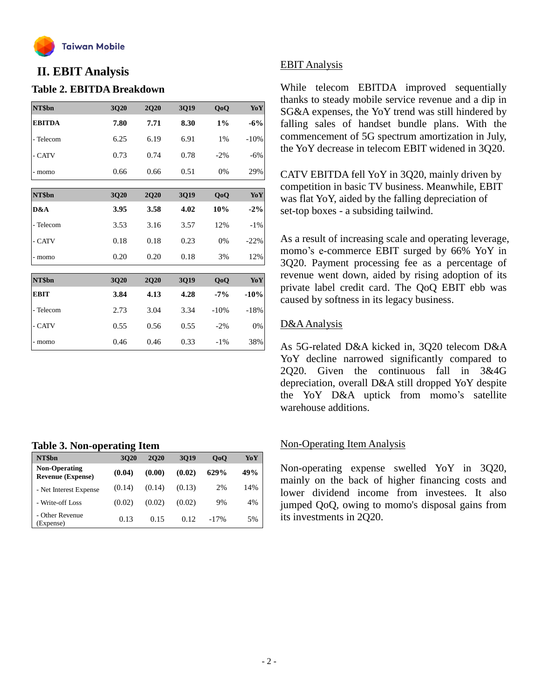

## **II. EBIT Analysis**

## **Table 2. EBITDA Breakdown**

| NT\$bn        | 3Q20 | <b>2Q20</b> | 3Q19 | QoQ    | YoY    |
|---------------|------|-------------|------|--------|--------|
| <b>EBITDA</b> | 7.80 | 7.71        | 8.30 | $1\%$  | $-6%$  |
| - Telecom     | 6.25 | 6.19        | 6.91 | 1%     | $-10%$ |
| - CATV        | 0.73 | 0.74        | 0.78 | $-2%$  | $-6%$  |
| - momo        | 0.66 | 0.66        | 0.51 | 0%     | 29%    |
| NT\$bn        | 3Q20 | <b>2Q20</b> | 3Q19 | QoQ    | YoY    |
| D&A           | 3.95 | 3.58        | 4.02 | 10%    | $-2\%$ |
| - Telecom     | 3.53 | 3.16        | 3.57 | 12%    | $-1\%$ |
| - CATV        | 0.18 | 0.18        | 0.23 | 0%     | $-22%$ |
| - momo        | 0.20 | 0.20        | 0.18 | 3%     | 12%    |
| NT\$bn        | 3Q20 | <b>2Q20</b> | 3Q19 | QoQ    | YoY    |
|               |      |             |      |        |        |
| <b>EBIT</b>   | 3.84 | 4.13        | 4.28 | $-7%$  | $-10%$ |
| - Telecom     | 2.73 | 3.04        | 3.34 | $-10%$ | $-18%$ |
| - CATV        | 0.55 | 0.56        | 0.55 | $-2%$  | 0%     |
| - momo        | 0.46 | 0.46        | 0.33 | $-1\%$ | 38%    |

### **Table 3. Non-operating Item**

|                                                  | -      |        |        |                |     |
|--------------------------------------------------|--------|--------|--------|----------------|-----|
| NT\$bn                                           | 3020   | 2020   | 3019   | 0 <sub>0</sub> | YoY |
| <b>Non-Operating</b><br><b>Revenue (Expense)</b> | (0.04) | (0.00) | (0.02) | 629%           | 49% |
| - Net Interest Expense                           | (0.14) | (0.14) | (0.13) | 2%             | 14% |
| - Write-off Loss                                 | (0.02) | (0.02) | (0.02) | 9%             | 4%  |
| - Other Revenue<br>(Expense)                     | 0.13   | 0.15   | 0.12   | $-17%$         | 5%  |

## EBIT Analysis

While telecom EBITDA improved sequentially thanks to steady mobile service revenue and a dip in SG&A expenses, the YoY trend was still hindered by falling sales of handset bundle plans. With the commencement of 5G spectrum amortization in July, the YoY decrease in telecom EBIT widened in 3Q20.

CATV EBITDA fell YoY in 3Q20, mainly driven by competition in basic TV business. Meanwhile, EBIT was flat YoY, aided by the falling depreciation of set-top boxes - a subsiding tailwind.

As a result of increasing scale and operating leverage, momo's e-commerce EBIT surged by 66% YoY in 3Q20. Payment processing fee as a percentage of revenue went down, aided by rising adoption of its private label credit card. The QoQ EBIT ebb was caused by softness in its legacy business.

## D&AAnalysis

As 5G-related D&A kicked in, 3Q20 telecom D&A YoY decline narrowed significantly compared to 2Q20. Given the continuous fall in 3&4G depreciation, overall D&A still dropped YoY despite the YoY D&A uptick from momo's satellite warehouse additions.

## Non-Operating Item Analysis

Non-operating expense swelled YoY in 3Q20, mainly on the back of higher financing costs and lower dividend income from investees. It also jumped QoQ, owing to momo's disposal gains from its investments in 2Q20.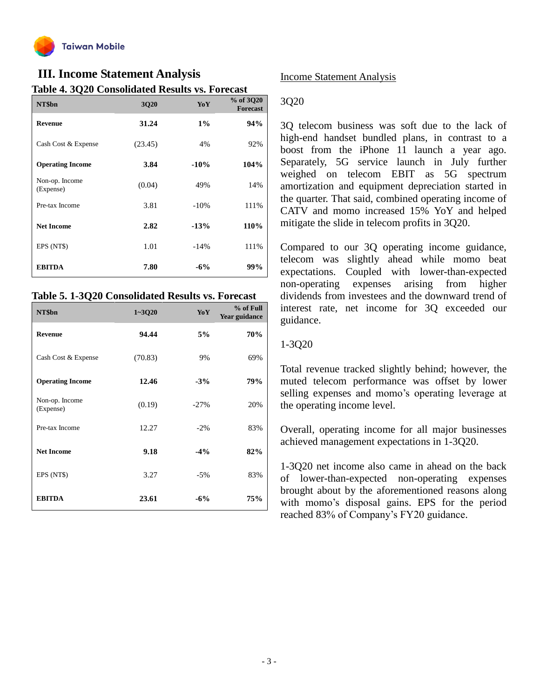

## **III. Income Statement Analysis**

**Table 4. 3Q20 Consolidated Results vs. Forecast**

| NT\$bn                      | 3Q20    | YoY     | % of 3Q20<br><b>Forecast</b> |
|-----------------------------|---------|---------|------------------------------|
| <b>Revenue</b>              | 31.24   | $1\%$   | 94%                          |
| Cash Cost & Expense         | (23.45) | 4%      | 92%                          |
| <b>Operating Income</b>     | 3.84    | $-10%$  | 104%                         |
| Non-op. Income<br>(Expense) | (0.04)  | 49%     | 14%                          |
| Pre-tax Income              | 3.81    | $-10\%$ | 111%                         |
| <b>Net Income</b>           | 2.82    | $-13%$  | 110%                         |
| EPS (NT\$)                  | 1.01    | $-14%$  | 111%                         |
| <b>EBITDA</b>               | 7.80    | $-6%$   | 99%                          |

#### **Table 5. 1-3Q20 Consolidated Results vs. Forecast**

| NT\$bn                      | $1 - 3020$ | YoY    | % of Full<br><b>Year guidance</b> |
|-----------------------------|------------|--------|-----------------------------------|
| <b>Revenue</b>              | 94.44      | 5%     | 70%                               |
| Cash Cost & Expense         | (70.83)    | 9%     | 69%                               |
| <b>Operating Income</b>     | 12.46      | $-3%$  | 79%                               |
| Non-op. Income<br>(Expense) | (0.19)     | $-27%$ | 20%                               |
| Pre-tax Income              | 12.27      | $-2\%$ | 83%                               |
| <b>Net Income</b>           | 9.18       | $-4%$  | 82%                               |
| EPS (NT\$)                  | 3.27       | $-5%$  | 83%                               |
| <b>EBITDA</b>               | 23.61      | $-6%$  | 75%                               |

### Income Statement Analysis

### 3Q20

3Q telecom business was soft due to the lack of high-end handset bundled plans, in contrast to a boost from the iPhone 11 launch a year ago. Separately, 5G service launch in July further weighed on telecom EBIT as 5G spectrum amortization and equipment depreciation started in the quarter. That said, combined operating income of CATV and momo increased 15% YoY and helped mitigate the slide in telecom profits in 3Q20.

Compared to our 3Q operating income guidance, telecom was slightly ahead while momo beat expectations. Coupled with lower-than-expected non-operating expenses arising from higher dividends from investees and the downward trend of interest rate, net income for 3Q exceeded our guidance.

## 1-3Q20

Total revenue tracked slightly behind; however, the muted telecom performance was offset by lower selling expenses and momo's operating leverage at the operating income level.

Overall, operating income for all major businesses achieved management expectations in 1-3Q20.

1-3Q20 net income also came in ahead on the back of lower-than-expected non-operating expenses brought about by the aforementioned reasons along with momo's disposal gains. EPS for the period reached 83% of Company's FY20 guidance.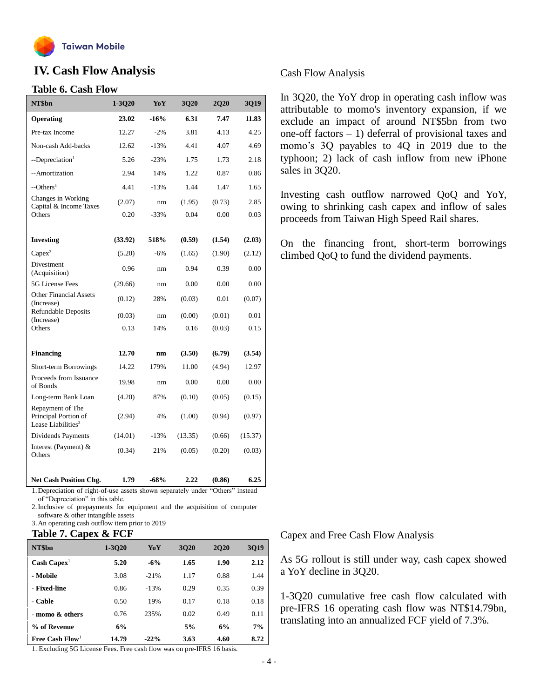

## **IV. Cash Flow Analysis**

#### **Table 6. Cash Flow**

| NT\$bn                                                                                                        | 1-3Q20  | YoY    | 3Q20    | <b>2Q20</b> | 3Q19    |
|---------------------------------------------------------------------------------------------------------------|---------|--------|---------|-------------|---------|
| Operating                                                                                                     | 23.02   | $-16%$ | 6.31    | 7.47        | 11.83   |
| Pre-tax Income                                                                                                | 12.27   | $-2%$  | 3.81    | 4.13        | 4.25    |
| Non-cash Add-backs                                                                                            | 12.62   | $-13%$ | 4.41    | 4.07        | 4.69    |
| --Depreciation <sup>1</sup>                                                                                   | 5.26    | $-23%$ | 1.75    | 1.73        | 2.18    |
| --Amortization                                                                                                | 2.94    | 14%    | 1.22    | 0.87        | 0.86    |
| $-$ Others <sup>1</sup>                                                                                       | 4.41    | $-13%$ | 1.44    | 1.47        | 1.65    |
| Changes in Working<br>Capital & Income Taxes                                                                  | (2.07)  | nm     | (1.95)  | (0.73)      | 2.85    |
| Others                                                                                                        | 0.20    | $-33%$ | 0.04    | 0.00        | 0.03    |
|                                                                                                               |         |        |         |             |         |
| <b>Investing</b>                                                                                              | (33.92) | 518%   | (0.59)  | (1.54)      | (2.03)  |
| $Capex^2$                                                                                                     | (5.20)  | $-6%$  | (1.65)  | (1.90)      | (2.12)  |
| Divestment<br>(Acquisition)                                                                                   | 0.96    | nm     | 0.94    | 0.39        | 0.00    |
| 5G License Fees                                                                                               | (29.66) | nm     | 0.00    | 0.00        | 0.00    |
| <b>Other Financial Assets</b><br>(Increase)                                                                   | (0.12)  | 28%    | (0.03)  | 0.01        | (0.07)  |
| <b>Refundable Deposits</b><br>(Increase)                                                                      | (0.03)  | nm     | (0.00)  | (0.01)      | 0.01    |
| Others                                                                                                        | 0.13    | 14%    | 0.16    | (0.03)      | 0.15    |
|                                                                                                               |         |        |         |             |         |
| <b>Financing</b>                                                                                              | 12.70   | nm     | (3.50)  | (6.79)      | (3.54)  |
| Short-term Borrowings                                                                                         | 14.22   | 179%   | 11.00   | (4.94)      | 12.97   |
| Proceeds from Issuance<br>of Bonds                                                                            | 19.98   | nm     | 0.00    | 0.00        | 0.00    |
| Long-term Bank Loan                                                                                           | (4.20)  | 87%    | (0.10)  | (0.05)      | (0.15)  |
| Repayment of The<br>Principal Portion of<br>Lease Liabilities <sup>3</sup>                                    | (2.94)  | 4%     | (1.00)  | (0.94)      | (0.97)  |
| Dividends Payments                                                                                            | (14.01) | $-13%$ | (13.35) | (0.66)      | (15.37) |
| Interest (Payment) &<br>Others                                                                                | (0.34)  | 21%    | (0.05)  | (0.20)      | (0.03)  |
| <b>Net Cash Position Chg.</b><br>Depreciation of right of use assets shown separately under "Others" instead. | 1.79    | $-68%$ | 2.22    | (0.86)      | 6.25    |

1.Depreciation of right-of-use assets shown separately under "Others" instead

of "Depreciation" in this table.

2.Inclusive of prepayments for equipment and the acquisition of computer software & other intangible assets

3.An operating cash outflow item prior to 2019

## **Table 7. Capex & FCF**

| NT\$bn                      | 1-3020 | YoY    | 3020 | <b>2020</b> | <b>3Q19</b> |
|-----------------------------|--------|--------|------|-------------|-------------|
| $Cash \text{ Capex}^1$      | 5.20   | $-6%$  | 1.65 | 1.90        | 2.12        |
| - Mobile                    | 3.08   | $-21%$ | 1.17 | 0.88        | 1.44        |
| - Fixed-line                | 0.86   | $-13%$ | 0.29 | 0.35        | 0.39        |
| - Cable                     | 0.50   | 19%    | 0.17 | 0.18        | 0.18        |
| - momo & others             | 0.76   | 235%   | 0.02 | 0.49        | 0.11        |
| % of Revenue                | 6%     |        | 5%   | 6%          | 7%          |
| Free Cash Flow <sup>1</sup> | 14.79  | $-22%$ | 3.63 | 4.60        | 8.72        |

1. Excluding 5G License Fees. Free cash flow was on pre-IFRS 16 basis.

## Cash Flow Analysis

In 3Q20, the YoY drop in operating cash inflow was attributable to momo's inventory expansion, if we exclude an impact of around NT\$5bn from two one-off factors  $-1$ ) deferral of provisional taxes and momo's 3Q payables to 4Q in 2019 due to the typhoon; 2) lack of cash inflow from new iPhone sales in 3Q20.

Investing cash outflow narrowed QoQ and YoY, owing to shrinking cash capex and inflow of sales proceeds from Taiwan High Speed Rail shares.

On the financing front, short-term borrowings climbed QoQ to fund the dividend payments.

### Capex and Free Cash Flow Analysis

As 5G rollout is still under way, cash capex showed a YoY decline in 3Q20.

1-3Q20 cumulative free cash flow calculated with pre-IFRS 16 operating cash flow was NT\$14.79bn, translating into an annualized FCF yield of 7.3%.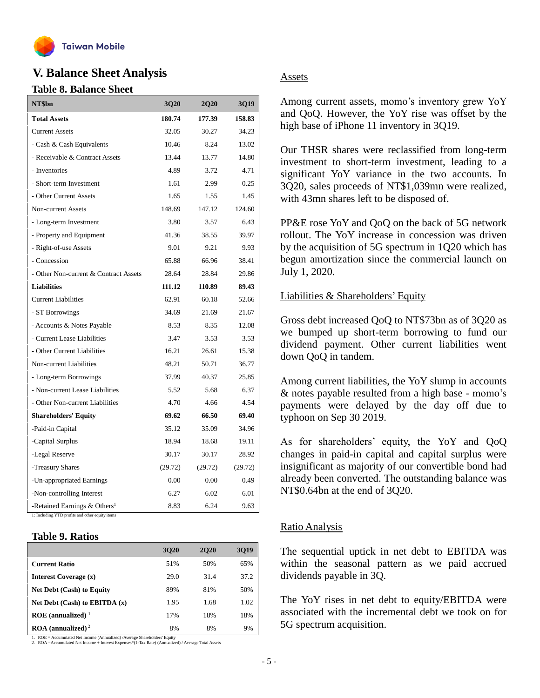

## **V. Balance Sheet Analysis**

#### **Table 8. Balance Sheet**

| NT\$bn                                     | 3Q20    | <b>2Q20</b> | 3Q19    |
|--------------------------------------------|---------|-------------|---------|
| <b>Total Assets</b>                        | 180.74  | 177.39      | 158.83  |
| <b>Current Assets</b>                      | 32.05   | 30.27       | 34.23   |
| - Cash & Cash Equivalents                  | 10.46   | 8.24        | 13.02   |
| - Receivable & Contract Assets             | 13.44   | 13.77       | 14.80   |
| - Inventories                              | 4.89    | 3.72        | 4.71    |
| - Short-term Investment                    | 1.61    | 2.99        | 0.25    |
| - Other Current Assets                     | 1.65    | 1.55        | 1.45    |
| Non-current Assets                         | 148.69  | 147.12      | 124.60  |
| - Long-term Investment                     | 3.80    | 3.57        | 6.43    |
| - Property and Equipment                   | 41.36   | 38.55       | 39.97   |
| - Right-of-use Assets                      | 9.01    | 9.21        | 9.93    |
| - Concession                               | 65.88   | 66.96       | 38.41   |
| - Other Non-current & Contract Assets      | 28.64   | 28.84       | 29.86   |
| <b>Liabilities</b>                         | 111.12  | 110.89      | 89.43   |
| <b>Current Liabilities</b>                 | 62.91   | 60.18       | 52.66   |
| - ST Borrowings                            | 34.69   | 21.69       | 21.67   |
| - Accounts & Notes Payable                 | 8.53    | 8.35        | 12.08   |
| - Current Lease Liabilities                | 3.47    | 3.53        | 3.53    |
| - Other Current Liabilities                | 16.21   | 26.61       | 15.38   |
| Non-current Liabilities                    | 48.21   | 50.71       | 36.77   |
| - Long-term Borrowings                     | 37.99   | 40.37       | 25.85   |
| - Non-current Lease Liabilities            | 5.52    | 5.68        | 6.37    |
| - Other Non-current Liabilities            | 4.70    | 4.66        | 4.54    |
| <b>Shareholders' Equity</b>                | 69.62   | 66.50       | 69.40   |
| -Paid-in Capital                           | 35.12   | 35.09       | 34.96   |
| -Capital Surplus                           | 18.94   | 18.68       | 19.11   |
| -Legal Reserve                             | 30.17   | 30.17       | 28.92   |
| -Treasury Shares                           | (29.72) | (29.72)     | (29.72) |
| -Un-appropriated Earnings                  | 0.00    | 0.00        | 0.49    |
| -Non-controlling Interest                  | 6.27    | 6.02        | 6.01    |
| -Retained Earnings $&$ Others <sup>1</sup> | 8.83    | 6.24        | 9.63    |

1: Including YTD profits and other equity items

#### **Table 9. Ratios**

|                                          | 3020 | <b>2020</b> | 3019 |
|------------------------------------------|------|-------------|------|
| <b>Current Ratio</b>                     | 51%  | 50%         | 65%  |
| Interest Coverage (x)                    | 29.0 | 31.4        | 37.2 |
| <b>Net Debt (Cash) to Equity</b>         | 89%  | 81%         | 50%  |
| Net Debt $(Cash)$ to EBITDA $(x)$        | 1.95 | 1.68        | 1.02 |
| $ROE$ (annualized) <sup>1</sup>          | 17%  | 18%         | 18%  |
| $\textbf{ROA}$ (annualized) <sup>2</sup> | 8%   | 8%          | 9%   |

1. ROE = Accumulated Net Income (Annualized) /Average Shareholders' Equity 2. ROA =Accumulated Net Income + Interest Expenses\*(1-Tax Rate) (Annualized) / Average Total Assets

## Assets

Among current assets, momo's inventory grew YoY and QoQ. However, the YoY rise was offset by the high base of iPhone 11 inventory in 3Q19.

Our THSR shares were reclassified from long-term investment to short-term investment, leading to a significant YoY variance in the two accounts. In 3Q20, sales proceeds of NT\$1,039mn were realized, with 43mn shares left to be disposed of.

PP&E rose YoY and QoQ on the back of 5G network rollout. The YoY increase in concession was driven by the acquisition of 5G spectrum in 1Q20 which has begun amortization since the commercial launch on July 1, 2020.

#### Liabilities & Shareholders' Equity

Gross debt increased QoQ to NT\$73bn as of 3Q20 as we bumped up short-term borrowing to fund our dividend payment. Other current liabilities went down QoQ in tandem.

Among current liabilities, the YoY slump in accounts & notes payable resulted from a high base - momo's payments were delayed by the day off due to typhoon on Sep 30 2019.

As for shareholders' equity, the YoY and QoQ changes in paid-in capital and capital surplus were insignificant as majority of our convertible bond had already been converted. The outstanding balance was NT\$0.64bn at the end of 3Q20.

#### Ratio Analysis

The sequential uptick in net debt to EBITDA was within the seasonal pattern as we paid accrued dividends payable in 3Q.

The YoY rises in net debt to equity/EBITDA were associated with the incremental debt we took on for 5G spectrum acquisition.